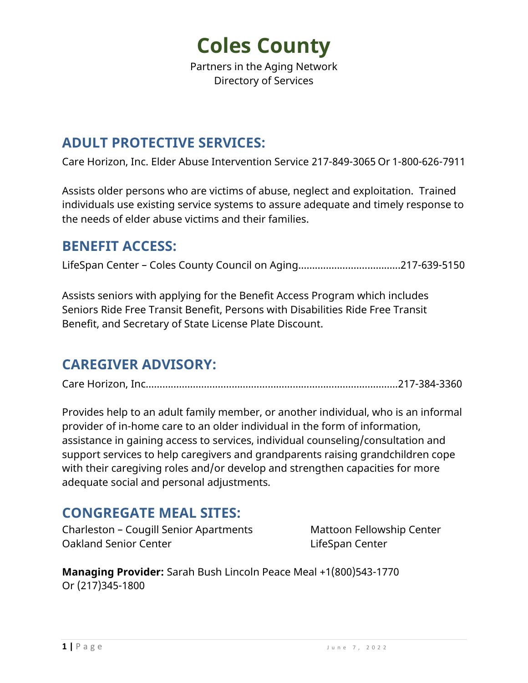Partners in the Aging Network Directory of Services

#### **ADULT PROTECTIVE SERVICES:**

Care Horizon, Inc. Elder Abuse Intervention Service 217-849-3065 Or 1-800-626-7911

Assists older persons who are victims of abuse, neglect and exploitation. Trained individuals use existing service systems to assure adequate and timely response to the needs of elder abuse victims and their families.

#### **BENEFIT ACCESS:**

LifeSpan Center – Coles County Council on Aging………………….…………...217-639-5150

Assists seniors with applying for the Benefit Access Program which includes Seniors Ride Free Transit Benefit, Persons with Disabilities Ride Free Transit Benefit, and Secretary of State License Plate Discount.

### **CAREGIVER ADVISORY:**

Care Horizon, Inc……….…………...………….……………………………………………..217-384-3360

Provides help to an adult family member, or another individual, who is an informal provider of in-home care to an older individual in the form of information, assistance in gaining access to services, individual counseling/consultation and support services to help caregivers and grandparents raising grandchildren cope with their caregiving roles and/or develop and strengthen capacities for more adequate social and personal adjustments.

#### **CONGREGATE MEAL SITES:**

Charleston – Cougill Senior Apartments Mattoon Fellowship Center Oakland Senior Center LifeSpan Center

**Managing Provider:** Sarah Bush Lincoln Peace Meal +1(800)543-1770 Or (217)345-1800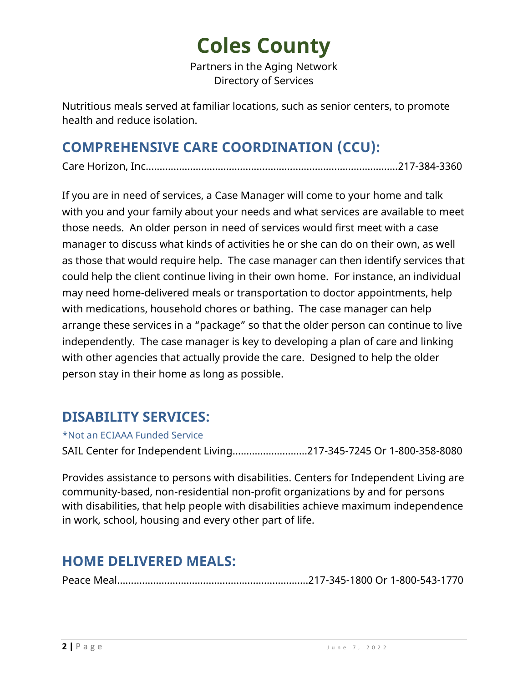Partners in the Aging Network Directory of Services

Nutritious meals served at familiar locations, such as senior centers, to promote health and reduce isolation.

### **COMPREHENSIVE CARE COORDINATION (CCU):**

Care Horizon, Inc……….…………...………….……………………………………………..217-384-3360

If you are in need of services, a Case Manager will come to your home and talk with you and your family about your needs and what services are available to meet those needs. An older person in need of services would first meet with a case manager to discuss what kinds of activities he or she can do on their own, as well as those that would require help. The case manager can then identify services that could help the client continue living in their own home. For instance, an individual may need home-delivered meals or transportation to doctor appointments, help with medications, household chores or bathing. The case manager can help arrange these services in a "package" so that the older person can continue to live independently. The case manager is key to developing a plan of care and linking with other agencies that actually provide the care. Designed to help the older person stay in their home as long as possible.

### **DISABILITY SERVICES:**

\*Not an ECIAAA Funded Service

SAIL Center for Independent Living………………………217-345-7245 Or 1-800-358-8080

Provides assistance to persons with disabilities. Centers for Independent Living are community-based, non-residential non-profit organizations by and for persons with disabilities, that help people with disabilities achieve maximum independence in work, school, housing and every other part of life.

### **HOME DELIVERED MEALS:**

Peace Meal…………………………………………………………...217-345-1800 Or 1-800-543-1770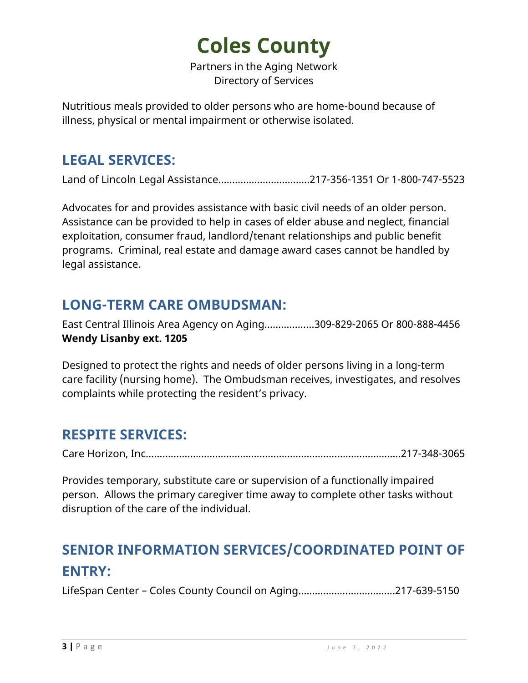Partners in the Aging Network Directory of Services

Nutritious meals provided to older persons who are home-bound because of illness, physical or mental impairment or otherwise isolated.

#### **LEGAL SERVICES:**

Land of Lincoln Legal Assistance……………………………217-356-1351 Or 1-800-747-5523

Advocates for and provides assistance with basic civil needs of an older person. Assistance can be provided to help in cases of elder abuse and neglect, financial exploitation, consumer fraud, landlord/tenant relationships and public benefit programs. Criminal, real estate and damage award cases cannot be handled by legal assistance.

### **LONG-TERM CARE OMBUDSMAN:**

East Central Illinois Area Agency on Aging……………...309-829-2065 Or 800-888-4456 **Wendy Lisanby ext. 1205** 

Designed to protect the rights and needs of older persons living in a long-term care facility (nursing home). The Ombudsman receives, investigates, and resolves complaints while protecting the resident's privacy.

#### **RESPITE SERVICES:**

Care Horizon, Inc……….…………...………….………………………….…………………..217-348-3065

Provides temporary, substitute care or supervision of a functionally impaired person. Allows the primary caregiver time away to complete other tasks without disruption of the care of the individual.

### **SENIOR INFORMATION SERVICES/COORDINATED POINT OF ENTRY:**

LifeSpan Center – Coles County Council on Aging………………….….……...217-639-5150